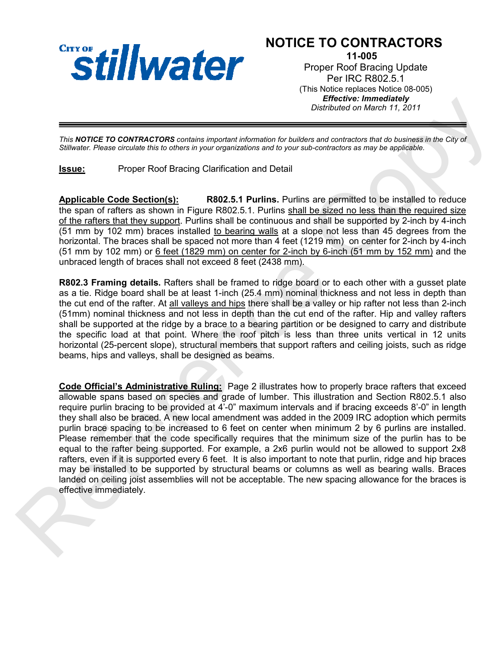

## NOTICE TO CONTRACTORS

11-005 Proper Roof Bracing Update Per IRC R802.5.1 (This Notice replaces Notice 08-005) Effective: Immediately Distributed on March 11, 2011

This NOTICE TO CONTRACTORS contains important information for builders and contractors that do business in the City of Stillwater. Please circulate this to others in your organizations and to your sub-contractors as may be applicable.

Issue: Proper Roof Bracing Clarification and Detail

Applicable Code Section(s): R802.5.1 Purlins. Purlins are permitted to be installed to reduce the span of rafters as shown in Figure R802.5.1. Purlins shall be sized no less than the required size of the rafters that they support. Purlins shall be continuous and shall be supported by 2-inch by 4-inch (51 mm by 102 mm) braces installed to bearing walls at a slope not less than 45 degrees from the horizontal. The braces shall be spaced not more than 4 feet (1219 mm) on center for 2-inch by 4-inch (51 mm by 102 mm) or  $6$  feet (1829 mm) on center for 2-inch by 6-inch (51 mm by 152 mm) and the unbraced length of braces shall not exceed 8 feet (2438 mm).

R802.3 Framing details. Rafters shall be framed to ridge board or to each other with a gusset plate as a tie. Ridge board shall be at least 1-inch (25.4 mm) nominal thickness and not less in depth than the cut end of the rafter. At all valleys and hips there shall be a valley or hip rafter not less than 2-inch (51mm) nominal thickness and not less in depth than the cut end of the rafter. Hip and valley rafters shall be supported at the ridge by a brace to a bearing partition or be designed to carry and distribute the specific load at that point. Where the roof pitch is less than three units vertical in 12 units horizontal (25-percent slope), structural members that support rafters and ceiling joists, such as ridge beams, hips and valleys, shall be designed as beams.

Code Official's Administrative Ruling: Page 2 illustrates how to properly brace rafters that exceed allowable spans based on species and grade of lumber. This illustration and Section R802.5.1 also require purlin bracing to be provided at 4'-0" maximum intervals and if bracing exceeds 8'-0" in length they shall also be braced. A new local amendment was added in the 2009 IRC adoption which permits purlin brace spacing to be increased to 6 feet on center when minimum 2 by 6 purlins are installed. Please remember that the code specifically requires that the minimum size of the purlin has to be equal to the rafter being supported. For example, a 2x6 purlin would not be allowed to support 2x8 rafters, even if it is supported every 6 feet. It is also important to note that purlin, ridge and hip braces may be installed to be supported by structural beams or columns as well as bearing walls. Braces landed on ceiling joist assemblies will not be acceptable. The new spacing allowance for the braces is effective immediately. Detroits and the space of the space of the space of the space of the space of the space of the space of the space of the space of the space of the space of the space of the space of the space of the space of the space of t